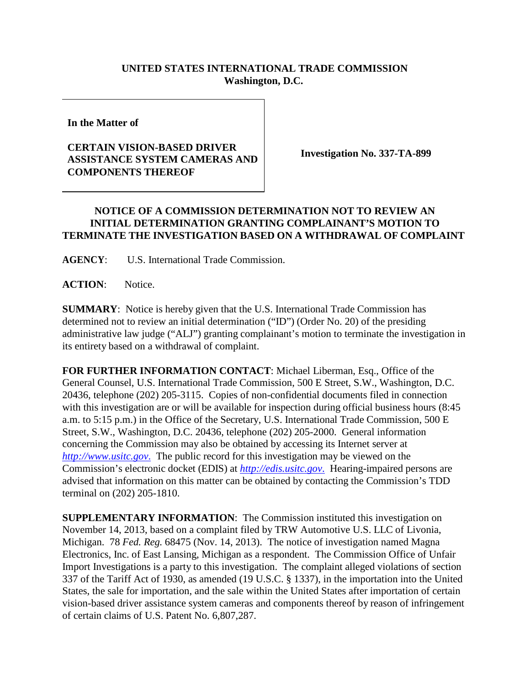## **UNITED STATES INTERNATIONAL TRADE COMMISSION Washington, D.C.**

**In the Matter of**

## **CERTAIN VISION-BASED DRIVER ASSISTANCE SYSTEM CAMERAS AND COMPONENTS THEREOF**

**Investigation No. 337-TA-899**

## **NOTICE OF A COMMISSION DETERMINATION NOT TO REVIEW AN INITIAL DETERMINATION GRANTING COMPLAINANT'S MOTION TO TERMINATE THE INVESTIGATION BASED ON A WITHDRAWAL OF COMPLAINT**

**AGENCY**: U.S. International Trade Commission.

**ACTION**: Notice.

**SUMMARY**: Notice is hereby given that the U.S. International Trade Commission has determined not to review an initial determination ("ID") (Order No. 20) of the presiding administrative law judge ("ALJ") granting complainant's motion to terminate the investigation in its entirety based on a withdrawal of complaint.

**FOR FURTHER INFORMATION CONTACT**: Michael Liberman, Esq., Office of the General Counsel, U.S. International Trade Commission, 500 E Street, S.W., Washington, D.C. 20436, telephone (202) 205-3115. Copies of non-confidential documents filed in connection with this investigation are or will be available for inspection during official business hours (8:45 a.m. to 5:15 p.m.) in the Office of the Secretary, U.S. International Trade Commission, 500 E Street, S.W., Washington, D.C. 20436, telephone (202) 205-2000. General information concerning the Commission may also be obtained by accessing its Internet server at *[http://www.usitc.gov](http://www.usitc.gov./)*. The public record for this investigation may be viewed on the Commission's electronic docket (EDIS) at *[http://edis.usitc.gov](http://edis.usitc.gov./)*. Hearing-impaired persons are advised that information on this matter can be obtained by contacting the Commission's TDD terminal on (202) 205-1810.

**SUPPLEMENTARY INFORMATION**: The Commission instituted this investigation on November 14, 2013, based on a complaint filed by TRW Automotive U.S. LLC of Livonia, Michigan. 78 *Fed. Reg.* 68475 (Nov. 14, 2013). The notice of investigation named Magna Electronics, Inc. of East Lansing, Michigan as a respondent. The Commission Office of Unfair Import Investigations is a party to this investigation. The complaint alleged violations of section 337 of the Tariff Act of 1930, as amended (19 U.S.C. § 1337), in the importation into the United States, the sale for importation, and the sale within the United States after importation of certain vision-based driver assistance system cameras and components thereof by reason of infringement of certain claims of U.S. Patent No. 6,807,287.